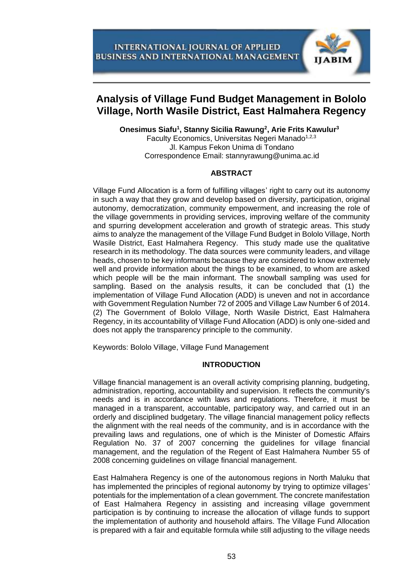

# **Analysis of Village Fund Budget Management in Bololo Village, North Wasile District, East Halmahera Regency**

**Onesimus Siafu<sup>1</sup> , Stanny Sicilia Rawung<sup>2</sup> , Arie Frits Kawulur<sup>3</sup>** Faculty Economics, Universitas Negeri Manado<sup>1,2,3</sup> Jl. Kampus Fekon Unima di Tondano

Correspondence Email: stannyrawung@unima.ac.id

## **ABSTRACT**

Village Fund Allocation is a form of fulfilling villages' right to carry out its autonomy in such a way that they grow and develop based on diversity, participation, original autonomy, democratization, community empowerment, and increasing the role of the village governments in providing services, improving welfare of the community and spurring development acceleration and growth of strategic areas. This study aims to analyze the management of the Village Fund Budget in Bololo Village, North Wasile District, East Halmahera Regency. This study made use the qualitative research in its methodology. The data sources were community leaders, and village heads, chosen to be key informants because they are considered to know extremely well and provide information about the things to be examined, to whom are asked which people will be the main informant. The snowball sampling was used for sampling. Based on the analysis results, it can be concluded that (1) the implementation of Village Fund Allocation (ADD) is uneven and not in accordance with Government Regulation Number 72 of 2005 and Village Law Number 6 of 2014. (2) The Government of Bololo Village, North Wasile District, East Halmahera Regency, in its accountability of Village Fund Allocation (ADD) is only one-sided and does not apply the transparency principle to the community.

Keywords: Bololo Village, Village Fund Management

# **INTRODUCTION**

Village financial management is an overall activity comprising planning, budgeting, administration, reporting, accountability and supervision. It reflects the community's needs and is in accordance with laws and regulations. Therefore, it must be managed in a transparent, accountable, participatory way, and carried out in an orderly and disciplined budgetary. The village financial management policy reflects the alignment with the real needs of the community, and is in accordance with the prevailing laws and regulations, one of which is the Minister of Domestic Affairs Regulation No. 37 of 2007 concerning the guidelines for village financial management, and the regulation of the Regent of East Halmahera Number 55 of 2008 concerning guidelines on village financial management.

East Halmahera Regency is one of the autonomous regions in North Maluku that has implemented the principles of regional autonomy by trying to optimize villages' potentials for the implementation of a clean government. The concrete manifestation of East Halmahera Regency in assisting and increasing village government participation is by continuing to increase the allocation of village funds to support the implementation of authority and household affairs. The Village Fund Allocation is prepared with a fair and equitable formula while still adjusting to the village needs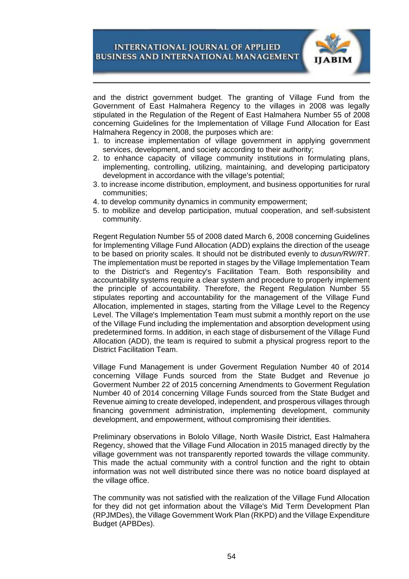

and the district government budget. The granting of Village Fund from the Government of East Halmahera Regency to the villages in 2008 was legally stipulated in the Regulation of the Regent of East Halmahera Number 55 of 2008 concerning Guidelines for the Implementation of Village Fund Allocation for East Halmahera Regency in 2008, the purposes which are:

- 1. to increase implementation of village government in applying government services, development, and society according to their authority;
- 2. to enhance capacity of village community institutions in formulating plans, implementing, controlling, utilizing, maintaining, and developing participatory development in accordance with the village's potential;
- 3. to increase income distribution, employment, and business opportunities for rural communities;
- 4. to develop community dynamics in community empowerment;
- 5. to mobilize and develop participation, mutual cooperation, and self-subsistent community.

Regent Regulation Number 55 of 2008 dated March 6, 2008 concerning Guidelines for Implementing Village Fund Allocation (ADD) explains the direction of the useage to be based on priority scales. It should not be distributed evenly to *dusun/RW/RT*. The implementation must be reported in stages by the Village Implementation Team to the District's and Regentcy's Facilitation Team. Both responsibility and accountability systems require a clear system and procedure to properly implement the principle of accountability. Therefore, the Regent Regulation Number 55 stipulates reporting and accountability for the management of the Village Fund Allocation, implemented in stages, starting from the Village Level to the Regency Level. The Village's Implementation Team must submit a monthly report on the use of the Village Fund including the implementation and absorption development using predetermined forms. In addition, in each stage of disbursement of the Village Fund Allocation (ADD), the team is required to submit a physical progress report to the District Facilitation Team.

Village Fund Management is under Goverment Regulation Number 40 of 2014 concerning Village Funds sourced from the State Budget and Revenue jo Goverment Number 22 of 2015 concerning Amendments to Goverment Regulation Number 40 of 2014 concerning Village Funds sourced from the State Budget and Revenue aiming to create developed, independent, and prosperous villages through financing government administration, implementing development, community development, and empowerment, without compromising their identities.

Preliminary observations in Bololo Village, North Wasile District, East Halmahera Regency, showed that the Village Fund Allocation in 2015 managed directly by the village government was not transparently reported towards the village community. This made the actual community with a control function and the right to obtain information was not well distributed since there was no notice board displayed at the village office.

The community was not satisfied with the realization of the Village Fund Allocation for they did not get information about the Village's Mid Term Development Plan (RPJMDes), the Village Government Work Plan (RKPD) and the Village Expenditure Budget (APBDes).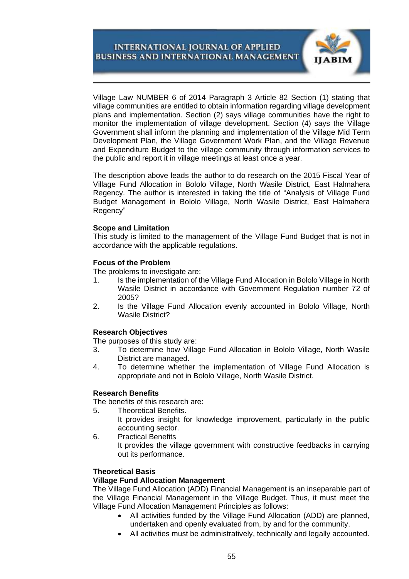

Village Law NUMBER 6 of 2014 Paragraph 3 Article 82 Section (1) stating that village communities are entitled to obtain information regarding village development plans and implementation. Section (2) says village communities have the right to monitor the implementation of village development. Section (4) says the Village Government shall inform the planning and implementation of the Village Mid Term Development Plan, the Village Government Work Plan, and the Village Revenue and Expenditure Budget to the village community through information services to the public and report it in village meetings at least once a year.

The description above leads the author to do research on the 2015 Fiscal Year of Village Fund Allocation in Bololo Village, North Wasile District, East Halmahera Regency. The author is interested in taking the title of "Analysis of Village Fund Budget Management in Bololo Village, North Wasile District, East Halmahera Regency"

## **Scope and Limitation**

This study is limited to the management of the Village Fund Budget that is not in accordance with the applicable regulations.

## **Focus of the Problem**

The problems to investigate are:

- 1. Is the implementation of the Village Fund Allocation in Bololo Village in North Wasile District in accordance with Government Regulation number 72 of 2005?
- 2. Is the Village Fund Allocation evenly accounted in Bololo Village, North Wasile District?

## **Research Objectives**

The purposes of this study are:

- 3. To determine how Village Fund Allocation in Bololo Village, North Wasile District are managed.
- 4. To determine whether the implementation of Village Fund Allocation is appropriate and not in Bololo Village, North Wasile District.

## **Research Benefits**

The benefits of this research are:

- 5. Theoretical Benefits.
	- It provides insight for knowledge improvement, particularly in the public accounting sector.
- 6. Practical Benefits

It provides the village government with constructive feedbacks in carrying out its performance.

## **Theoretical Basis**

## **Village Fund Allocation Management**

The Village Fund Allocation (ADD) Financial Management is an inseparable part of the Village Financial Management in the Village Budget. Thus, it must meet the Village Fund Allocation Management Principles as follows:

- All activities funded by the Village Fund Allocation (ADD) are planned, undertaken and openly evaluated from, by and for the community.
- All activities must be administratively, technically and legally accounted.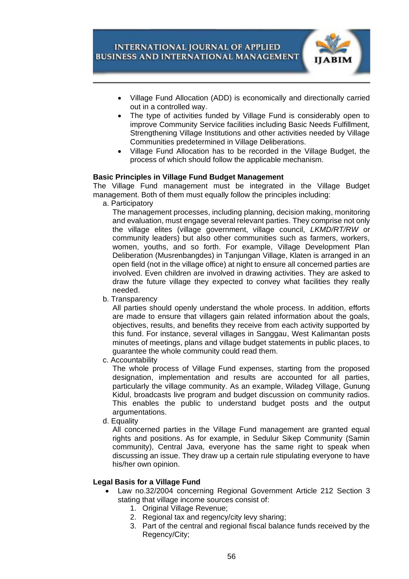

- Village Fund Allocation (ADD) is economically and directionally carried out in a controlled way.
- The type of activities funded by Village Fund is considerably open to improve Community Service facilities including Basic Needs Fulfillment, Strengthening Village Institutions and other activities needed by Village Communities predetermined in Village Deliberations.
- Village Fund Allocation has to be recorded in the Village Budget, the process of which should follow the applicable mechanism.

## **Basic Principles in Village Fund Budget Management**

The Village Fund management must be integrated in the Village Budget management. Both of them must equally follow the principles including:

a. Participatory

The management processes, including planning, decision making, monitoring and evaluation, must engage several relevant parties. They comprise not only the village elites (village government, village council, *LKMD/RT/RW* or community leaders) but also other communities such as farmers, workers, women, youths, and so forth. For example, Village Development Plan Deliberation (Musrenbangdes) in Tanjungan Village, Klaten is arranged in an open field (not in the village office) at night to ensure all concerned parties are involved. Even children are involved in drawing activities. They are asked to draw the future village they expected to convey what facilities they really needed.

b. Transparency

All parties should openly understand the whole process. In addition, efforts are made to ensure that villagers gain related information about the goals, objectives, results, and benefits they receive from each activity supported by this fund. For instance, several villages in Sanggau, West Kalimantan posts minutes of meetings, plans and village budget statements in public places, to guarantee the whole community could read them.

c. Accountability

The whole process of Village Fund expenses, starting from the proposed designation, implementation and results are accounted for all parties, particularly the village community. As an example, Wiladeg Village, Gunung Kidul, broadcasts live program and budget discussion on community radios. This enables the public to understand budget posts and the output argumentations.

d. Equality

All concerned parties in the Village Fund management are granted equal rights and positions. As for example, in Sedulur Sikep Community (Samin community), Central Java, everyone has the same right to speak when discussing an issue. They draw up a certain rule stipulating everyone to have his/her own opinion.

## **Legal Basis for a Village Fund**

- Law no.32/2004 concerning Regional Government Article 212 Section 3 stating that village income sources consist of:
	- 1. Original Village Revenue;
	- 2. Regional tax and regency/city levy sharing;
	- 3. Part of the central and regional fiscal balance funds received by the Regency/City;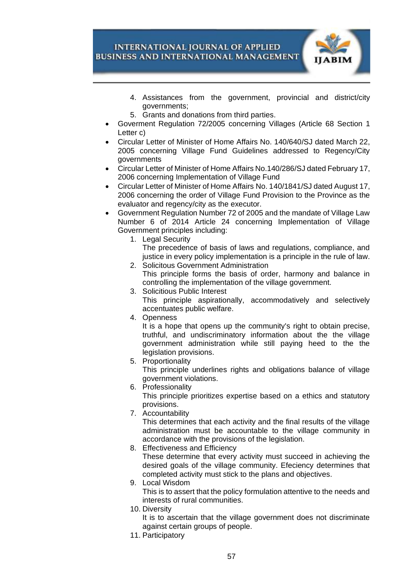

- 4. Assistances from the government, provincial and district/city governments;
- 5. Grants and donations from third parties.
- Goverment Regulation 72/2005 concerning Villages (Article 68 Section 1 Letter c)
- Circular Letter of Minister of Home Affairs No. 140/640/SJ dated March 22, 2005 concerning Village Fund Guidelines addressed to Regency/City governments
- Circular Letter of Minister of Home Affairs No.140/286/SJ dated February 17, 2006 concerning Implementation of Village Fund
- Circular Letter of Minister of Home Affairs No. 140/1841/SJ dated August 17, 2006 concerning the order of Village Fund Provision to the Province as the evaluator and regency/city as the executor.
- Government Regulation Number 72 of 2005 and the mandate of Village Law Number 6 of 2014 Article 24 concerning Implementation of Village Government principles including:
	- 1. Legal Security

The precedence of basis of laws and regulations, compliance, and justice in every policy implementation is a principle in the rule of law. 2. Solicitous Government Administration

- This principle forms the basis of order, harmony and balance in controlling the implementation of the village government.
- 3. Solicitious Public Interest This principle aspirationally, accommodatively and selectively accentuates public welfare.
- 4. Openness

It is a hope that opens up the community's right to obtain precise, truthful, and undiscriminatory information about the the village government administration while still paying heed to the the legislation provisions.

5. Proportionality

This principle underlines rights and obligations balance of village government violations.

- 6. Professionality This principle prioritizes expertise based on a ethics and statutory provisions.
- 7. Accountability This determines that each activity and the final results of the village administration must be accountable to the village community in accordance with the provisions of the legislation.
- 8. Effectiveness and Efficiency These determine that every activity must succeed in achieving the desired goals of the village community. Efeciency determines that completed activity must stick to the plans and objectives.
- 9. Local Wisdom This is to assert that the policy formulation attentive to the needs and interests of rural communities.
- 10. Diversity

It is to ascertain that the village government does not discriminate against certain groups of people.

11. Participatory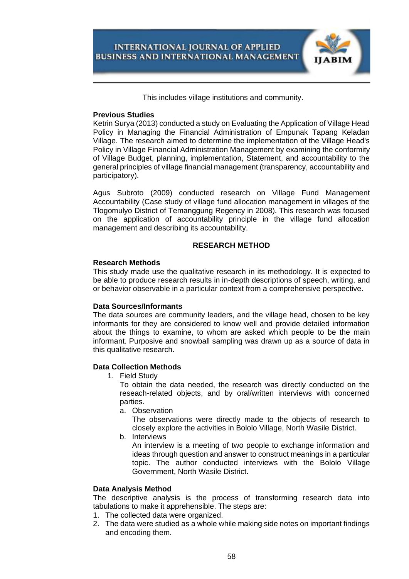

This includes village institutions and community.

#### **Previous Studies**

Ketrin Surya (2013) conducted a study on Evaluating the Application of Village Head Policy in Managing the Financial Administration of Empunak Tapang Keladan Village. The research aimed to determine the implementation of the Village Head's Policy in Village Financial Administration Management by examining the conformity of Village Budget, planning, implementation, Statement, and accountability to the general principles of village financial management (transparency, accountability and participatory).

Agus Subroto (2009) conducted research on Village Fund Management Accountability (Case study of village fund allocation management in villages of the Tlogomulyo District of Temanggung Regency in 2008). This research was focused on the application of accountability principle in the village fund allocation management and describing its accountability.

## **RESEARCH METHOD**

#### **Research Methods**

This study made use the qualitative research in its methodology. It is expected to be able to produce research results in in-depth descriptions of speech, writing, and or behavior observable in a particular context from a comprehensive perspective.

## **Data Sources/Informants**

The data sources are community leaders, and the village head, chosen to be key informants for they are considered to know well and provide detailed information about the things to examine, to whom are asked which people to be the main informant. Purposive and snowball sampling was drawn up as a source of data in this qualitative research.

## **Data Collection Methods**

1. Field Study

To obtain the data needed, the research was directly conducted on the reseach-related objects, and by oral/written interviews with concerned parties.

a. Observation

The observations were directly made to the objects of research to closely explore the activities in Bololo Village, North Wasile District.

b. Interviews

An interview is a meeting of two people to exchange information and ideas through question and answer to construct meanings in a particular topic. The author conducted interviews with the Bololo Village Government, North Wasile District.

## **Data Analysis Method**

The descriptive analysis is the process of transforming research data into tabulations to make it apprehensible. The steps are:

- 1. The collected data were organized.
- 2. The data were studied as a whole while making side notes on important findings and encoding them.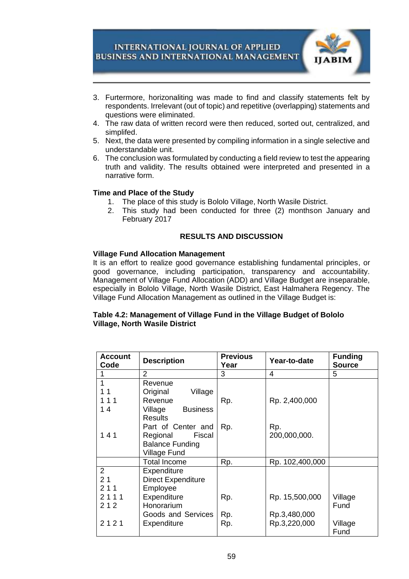

- 3. Furtermore, horizonaliting was made to find and classify statements felt by respondents. Irrelevant (out of topic) and repetitive (overlapping) statements and questions were eliminated.
- 4. The raw data of written record were then reduced, sorted out, centralized, and simplifed.
- 5. Next, the data were presented by compiling information in a single selective and understandable unit.
- 6. The conclusion was formulated by conducting a field review to test the appearing truth and validity. The results obtained were interpreted and presented in a narrative form.

## **Time and Place of the Study**

- 1. The place of this study is Bololo Village, North Wasile District.
- 2. This study had been conducted for three (2) monthson January and February 2017

#### **RESULTS AND DISCUSSION**

#### **Village Fund Allocation Management**

It is an effort to realize good governance establishing fundamental principles, or good governance, including participation, transparency and accountability. Management of Village Fund Allocation (ADD) and Village Budget are inseparable, especially in Bololo Village, North Wasile District, East Halmahera Regency. The Village Fund Allocation Management as outlined in the Village Budget is:

## **Table 4.2: Management of Village Fund in the Village Budget of Bololo Village, North Wasile District**

| Account<br>Code       | <b>Description</b>         | <b>Previous</b><br>Year | Year-to-date    | <b>Funding</b><br><b>Source</b> |
|-----------------------|----------------------------|-------------------------|-----------------|---------------------------------|
|                       | 2                          | 3                       | 4               | 5                               |
|                       | Revenue                    |                         |                 |                                 |
| 11                    | Original<br>Village        |                         |                 |                                 |
| 111                   | Revenue                    | Rp.                     | Rp. 2,400,000   |                                 |
| 14                    | Village<br><b>Business</b> |                         |                 |                                 |
|                       | <b>Results</b>             |                         |                 |                                 |
|                       | Part of Center and         | Rp.                     | Rp.             |                                 |
| 141                   | Regional<br>Fiscal         |                         | 200,000,000.    |                                 |
|                       | <b>Balance Funding</b>     |                         |                 |                                 |
|                       | Village Fund               |                         |                 |                                 |
|                       | <b>Total Income</b>        | Rp.                     | Rp. 102,400,000 |                                 |
| $\mathbf{2}^{\prime}$ | Expenditure                |                         |                 |                                 |
| 2 <sub>1</sub>        | <b>Direct Expenditure</b>  |                         |                 |                                 |
| 211                   | Employee                   |                         |                 |                                 |
| 2111                  | Expenditure                | Rp.                     | Rp. 15,500,000  | Village                         |
| 212                   | Honorarium                 |                         |                 | Fund                            |
|                       | Goods and Services         | Rp.                     | Rp.3,480,000    |                                 |
| 2121                  | Expenditure                | Rp.                     | Rp.3,220,000    | Village                         |
|                       |                            |                         |                 | Fund                            |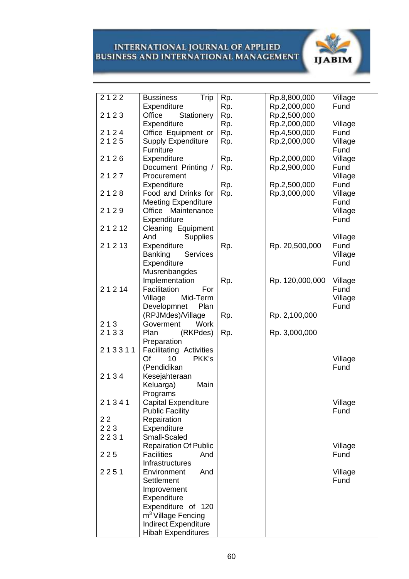

| 2122   | <b>Bussiness</b><br>Trip          | Rp. | Rp.8,800,000    | Village |
|--------|-----------------------------------|-----|-----------------|---------|
|        | Expenditure                       | Rp. | Rp.2,000,000    | Fund    |
| 2123   | Stationery<br>Office              | Rp. | Rp.2,500,000    |         |
|        | Expenditure                       | Rp. | Rp.2,000,000    | Village |
| 2124   | Office Equipment or               | Rp. | Rp.4,500,000    | Fund    |
| 2125   | <b>Supply Expenditure</b>         | Rp. | Rp.2,000,000    | Village |
|        | Furniture                         |     |                 | Fund    |
| 2126   | Expenditure                       | Rp. | Rp.2,000,000    | Village |
|        | Document Printing /               | Rp. | Rp.2,900,000    | Fund    |
| 2127   | Procurement                       |     |                 | Village |
|        | Expenditure                       | Rp. | Rp.2,500,000    | Fund    |
| 2128   | Food and Drinks for               | Rp. | Rp.3,000,000    | Village |
|        | <b>Meeting Expenditure</b>        |     |                 | Fund    |
| 2129   | Office Maintenance                |     |                 | Village |
|        | Expenditure                       |     |                 | Fund    |
| 21212  | Cleaning Equipment                |     |                 |         |
|        | <b>Supplies</b><br>And            |     |                 | Village |
| 21213  | Expenditure                       | Rp. | Rp. 20,500,000  | Fund    |
|        | <b>Banking</b><br><b>Services</b> |     |                 | Village |
|        | Expenditure                       |     |                 | Fund    |
|        | Musrenbangdes                     |     |                 |         |
|        | Implementation                    | Rp. | Rp. 120,000,000 | Village |
| 21214  | Facilitation<br>For               |     |                 | Fund    |
|        | Mid-Term<br>Village               |     |                 | Village |
|        | Developmnet<br>Plan               |     |                 | Fund    |
|        | (RPJMdes)/Village                 | Rp. | Rp. 2,100,000   |         |
| 213    | Work<br>Goverment                 |     |                 |         |
| 2133   | Plan<br>(RKPdes)                  | Rp. | Rp. 3,000,000   |         |
|        | Preparation                       |     |                 |         |
| 213311 | <b>Facilitating Activities</b>    |     |                 |         |
|        | Of<br>10<br>PKK's                 |     |                 | Village |
|        | (Pendidikan                       |     |                 | Fund    |
| 2134   | Kesejahteraan                     |     |                 |         |
|        | Keluarga)<br>Main                 |     |                 |         |
|        | Programs                          |     |                 |         |
| 21341  | Capital Expenditure               |     |                 | Village |
|        | <b>Public Facility</b>            |     |                 | Fund    |
| 22     | Repairation                       |     |                 |         |
| 223    | Expenditure                       |     |                 |         |
| 2231   | Small-Scaled                      |     |                 |         |
|        | <b>Repairation Of Public</b>      |     |                 | Village |
| 225    | <b>Facilities</b><br>And          |     |                 | Fund    |
|        | Infrastructures                   |     |                 |         |
| 2251   | Environment<br>And                |     |                 | Village |
|        | Settlement                        |     |                 | Fund    |
|        | Improvement                       |     |                 |         |
|        | Expenditure                       |     |                 |         |
|        | Expenditure of 120                |     |                 |         |
|        | m <sup>3</sup> Village Fencing    |     |                 |         |
|        | <b>Indirect Expenditure</b>       |     |                 |         |
|        | <b>Hibah Expenditures</b>         |     |                 |         |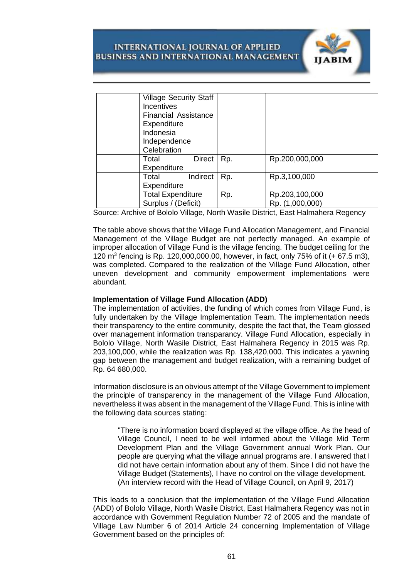

| <b>Village Security Staff</b><br><b>Incentives</b> |     |                 |  |
|----------------------------------------------------|-----|-----------------|--|
| <b>Financial Assistance</b><br>Expenditure         |     |                 |  |
| Indonesia<br>Independence<br>Celebration           |     |                 |  |
| <b>Direct</b><br>Total<br>Expenditure              | Rp. | Rp.200,000,000  |  |
| Indirect<br>Total<br>Expenditure                   | Rp. | Rp.3,100,000    |  |
| <b>Total Expenditure</b>                           | Rp. | Rp.203,100,000  |  |
| Surplus / (Deficit)                                |     | Rp. (1,000,000) |  |

Source: Archive of Bololo Village, North Wasile District, East Halmahera Regency

The table above shows that the Village Fund Allocation Management, and Financial Management of the Village Budget are not perfectly managed. An example of improper allocation of Village Fund is the village fencing. The budget ceiling for the 120 m<sup>3</sup> fencing is Rp. 120,000,000.00, however, in fact, only 75% of it (+ 67.5 m3), was completed. Compared to the realization of the Village Fund Allocation, other uneven development and community empowerment implementations were abundant.

#### **Implementation of Village Fund Allocation (ADD)**

The implementation of activities, the funding of which comes from Village Fund, is fully undertaken by the Village Implementation Team. The implementation needs their transparency to the entire community, despite the fact that, the Team glossed over management information transparancy. Village Fund Allocation, especially in Bololo Village, North Wasile District, East Halmahera Regency in 2015 was Rp. 203,100,000, while the realization was Rp. 138,420,000. This indicates a yawning gap between the management and budget realization, with a remaining budget of Rp. 64 680,000.

Information disclosure is an obvious attempt of the Village Government to implement the principle of transparency in the management of the Village Fund Allocation, nevertheless it was absent in the management of the Village Fund. This is inline with the following data sources stating:

"There is no information board displayed at the village office. As the head of Village Council, I need to be well informed about the Village Mid Term Development Plan and the Village Government annual Work Plan. Our people are querying what the village annual programs are. I answered that I did not have certain information about any of them. Since I did not have the Village Budget (Statements), I have no control on the village development. (An interview record with the Head of Village Council, on April 9, 2017)

This leads to a conclusion that the implementation of the Village Fund Allocation (ADD) of Bololo Village, North Wasile District, East Halmahera Regency was not in accordance with Government Regulation Number 72 of 2005 and the mandate of Village Law Number 6 of 2014 Article 24 concerning Implementation of Village Government based on the principles of: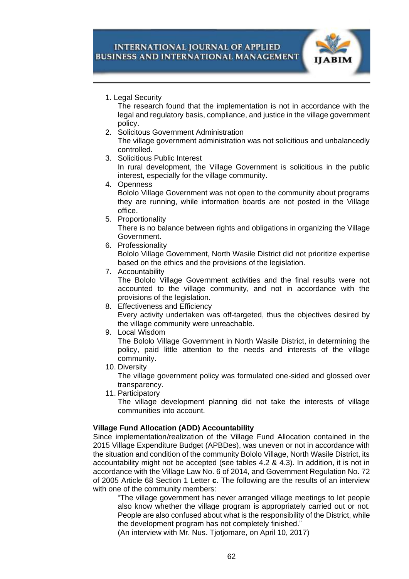

1. Legal Security

The research found that the implementation is not in accordance with the legal and regulatory basis, compliance, and justice in the village government policy.

- 2. Solicitous Government Administration The village government administration was not solicitious and unbalancedly controlled.
- 3. Solicitious Public Interest

In rural development, the Village Government is solicitious in the public interest, especially for the village community.

4. Openness

Bololo Village Government was not open to the community about programs they are running, while information boards are not posted in the Village office.

5. Proportionality

There is no balance between rights and obligations in organizing the Village Government.

6. Professionality

Bololo Village Government, North Wasile District did not prioritize expertise based on the ethics and the provisions of the legislation.

7. Accountability

The Bololo Village Government activities and the final results were not accounted to the village community, and not in accordance with the provisions of the legislation.

- 8. Effectiveness and Efficiency Every activity undertaken was off-targeted, thus the objectives desired by the village community were unreachable.
- 9. Local Wisdom

The Bololo Village Government in North Wasile District, in determining the policy, paid little attention to the needs and interests of the village community.

10. Diversity

The village government policy was formulated one-sided and glossed over transparency.

11. Participatory

The village development planning did not take the interests of village communities into account.

# **Village Fund Allocation (ADD) Accountability**

Since implementation/realization of the Village Fund Allocation contained in the 2015 Village Expenditure Budget (APBDes), was uneven or not in accordance with the situation and condition of the community Bololo Village, North Wasile District, its accountability might not be accepted (see tables 4.2 & 4.3). In addition, it is not in accordance with the Village Law No. 6 of 2014, and Government Regulation No. 72 of 2005 Article 68 Section 1 Letter **c**. The following are the results of an interview with one of the community members:

"The village government has never arranged village meetings to let people also know whether the village program is appropriately carried out or not. People are also confused about what is the responsibility of the District, while the development program has not completely finished."

(An interview with Mr. Nus. Tjotjomare, on April 10, 2017)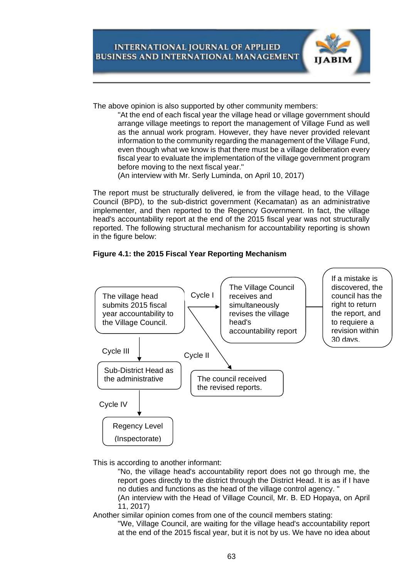

The above opinion is also supported by other community members:

"At the end of each fiscal year the village head or village government should arrange village meetings to report the management of Village Fund as well as the annual work program. However, they have never provided relevant information to the community regarding the management of the Village Fund, even though what we know is that there must be a village deliberation every fiscal year to evaluate the implementation of the village government program before moving to the next fiscal year."

(An interview with Mr. Serly Luminda, on April 10, 2017)

The report must be structurally delivered, ie from the village head, to the Village Council (BPD), to the sub-district government (Kecamatan) as an administrative implementer, and then reported to the Regency Government. In fact, the village head's accountability report at the end of the 2015 fiscal year was not structurally reported. The following structural mechanism for accountability reporting is shown in the figure below:





This is according to another informant:

"No, the village head's accountability report does not go through me, the report goes directly to the district through the District Head. It is as if I have no duties and functions as the head of the village control agency. "

(An interview with the Head of Village Council, Mr. B. ED Hopaya, on April 11, 2017)

Another similar opinion comes from one of the council members stating:

"We, Village Council, are waiting for the village head's accountability report at the end of the 2015 fiscal year, but it is not by us. We have no idea about